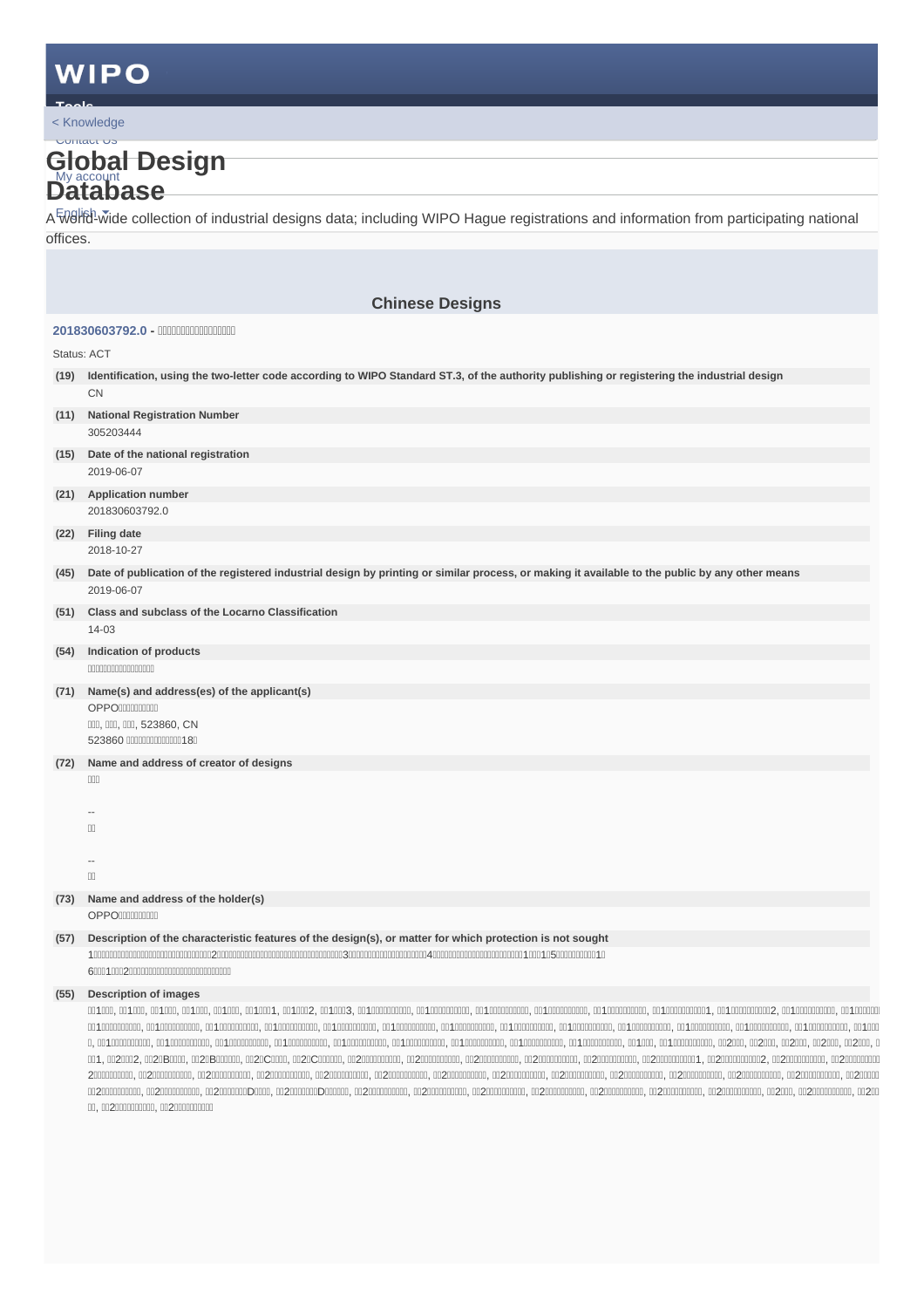## **WIPO**

**Tools** < [Knowledge](https://www.wipo.int/reference/en/)

## Contact Us My account **Global [Design](https://www.wipo.int/contact/en/area.jsp?area=designdb) [Database](https://www3.wipo.int/designdb/designdb/en/showData.jsp)**

A Wellich wide collection of industrial designs data; including WIPO Hague registrations and information from participating national [offices.](https://www.wipo.int/designdb/es/)

| <b>Chinese Designs</b>           |                                                                                                                                                                    |
|----------------------------------|--------------------------------------------------------------------------------------------------------------------------------------------------------------------|
| 201830603792.0 - 000000000000000 |                                                                                                                                                                    |
| Status: ACT                      |                                                                                                                                                                    |
| (19)                             | Identification, using the two-letter code according to WIPO Standard ST.3, of the authority publishing or registering the industrial design<br><b>CN</b>           |
| (11)                             | <b>National Registration Number</b><br>305203444                                                                                                                   |
|                                  | (15) Date of the national registration<br>2019-06-07                                                                                                               |
|                                  | (21) Application number<br>201830603792.0                                                                                                                          |
|                                  | (22) Filing date<br>2018-10-27                                                                                                                                     |
|                                  | (45) Date of publication of the registered industrial design by printing or similar process, or making it available to the public by any other means<br>2019-06-07 |
|                                  | (51) Class and subclass of the Locarno Classification<br>14-03                                                                                                     |
|                                  | (54) Indication of products                                                                                                                                        |
|                                  | 0000000000000000                                                                                                                                                   |
|                                  | (71) Name(s) and address(es) of the applicant(s)                                                                                                                   |
|                                  | OPPOINHHILL<br>000, 000, 000, 523860, CN<br>523860 000000000000180                                                                                                 |
| (72)                             | Name and address of creator of designs                                                                                                                             |
|                                  | 000                                                                                                                                                                |
|                                  | $\sim$ $\sim$                                                                                                                                                      |
|                                  | Ⅲ                                                                                                                                                                  |
|                                  | $\sim$ $\sim$                                                                                                                                                      |
|                                  | $\Box\Box$                                                                                                                                                         |
| (73)                             | Name and address of the holder(s)<br>OPPOINHHILL                                                                                                                   |
| (57)                             | Description of the characteristic features of the design(s), or matter for which protection is not sought                                                          |
|                                  | 6000100020000000000000000000000000                                                                                                                                 |
| (55)                             | <b>Description of images</b>                                                                                                                                       |

1, 1, 1, 1, 1, 11, 12, 13, 1, 1, 1, 1, 1, 11, 12, 1, 1, 1, 1, 1, 1, 1, 1, 1, 1, 1, 1, 1, 1, 1, 1 , 1, 1, 1, 1, 1, 1, 1, 1, 1, 1, 1, 2, 2, 2, 2, 2, 2 1, 22, 2B, 2B, 2C, 2C, 2, 2, 2, 2, 2, 21, 22, 2, 2, 2, 2, 2, 2, 2, 2, 2, 2, 2, 2, 2, 2, 2, 2, 2, 2, 2D, 2D, 2, 2, 2, 2, 2, 2, 2, 2, 2, 2 00, 0020000000000, 0020000000000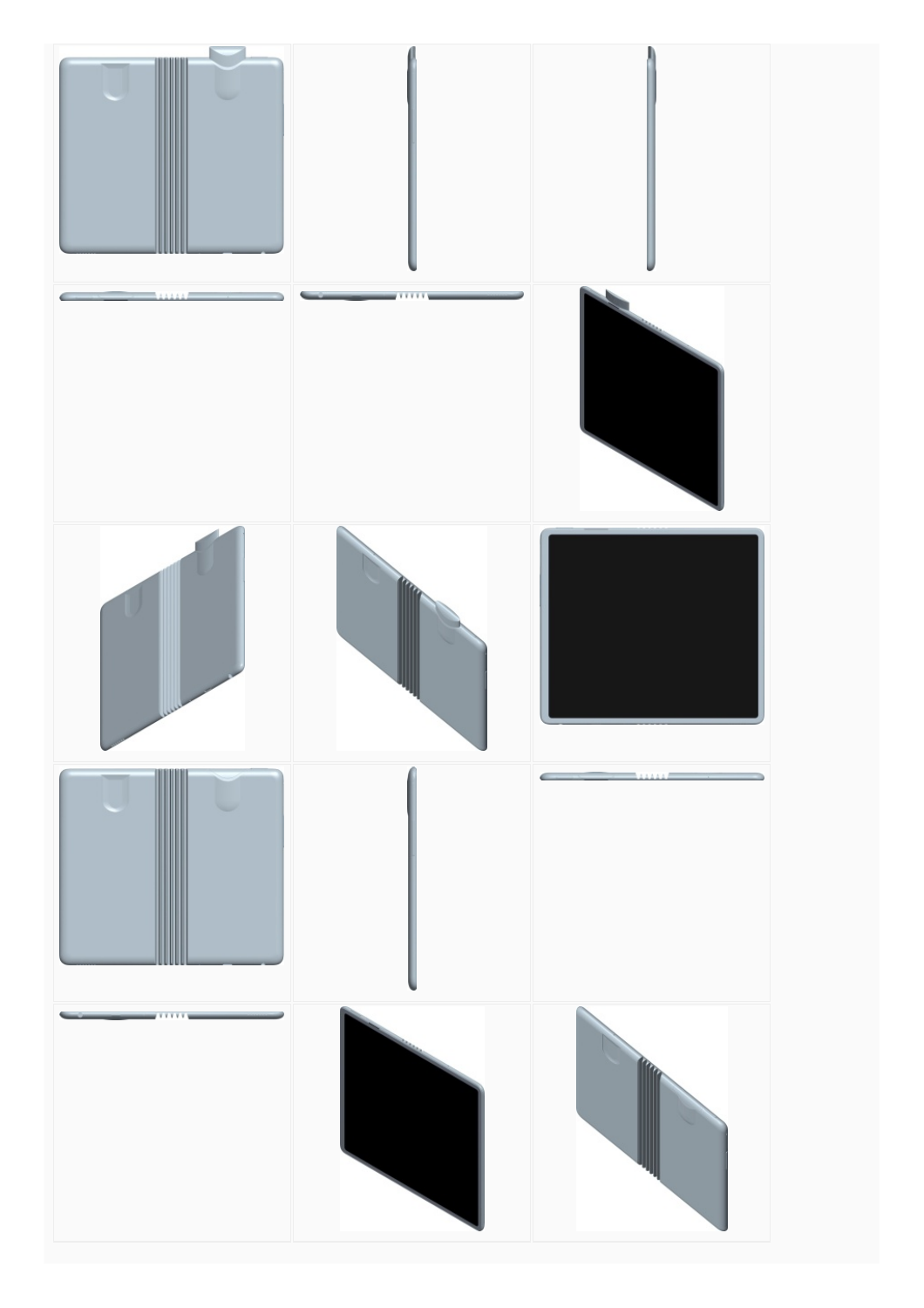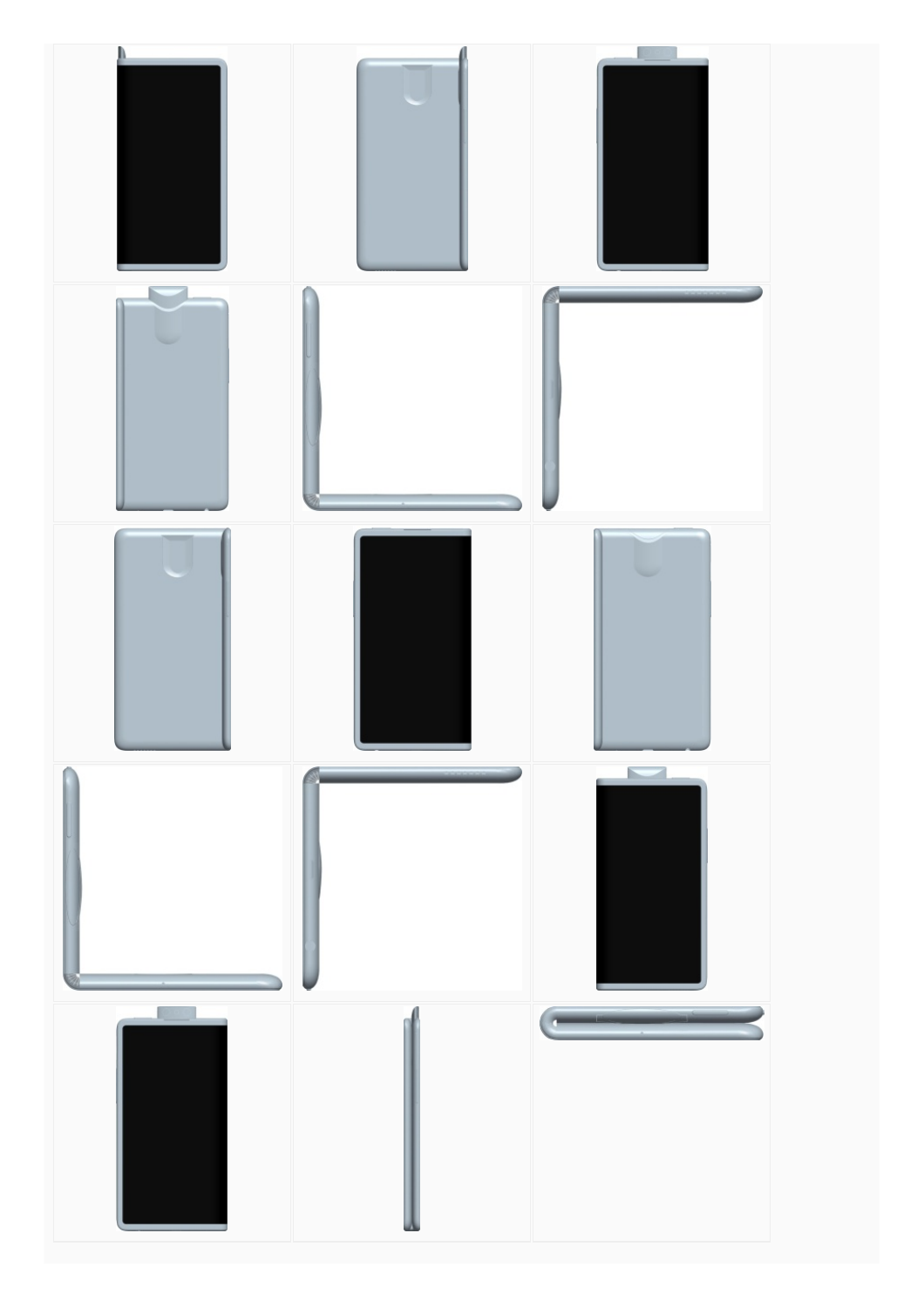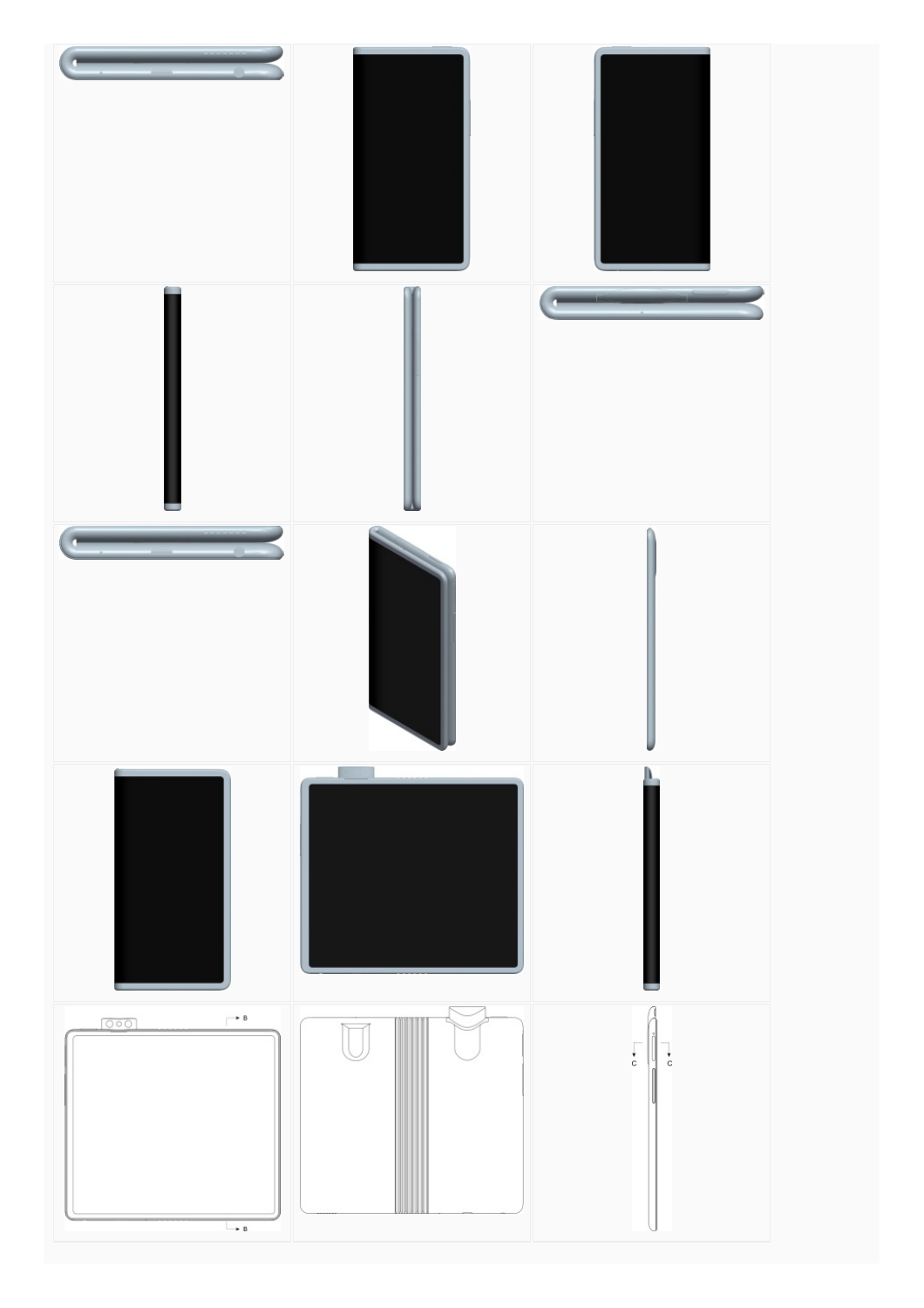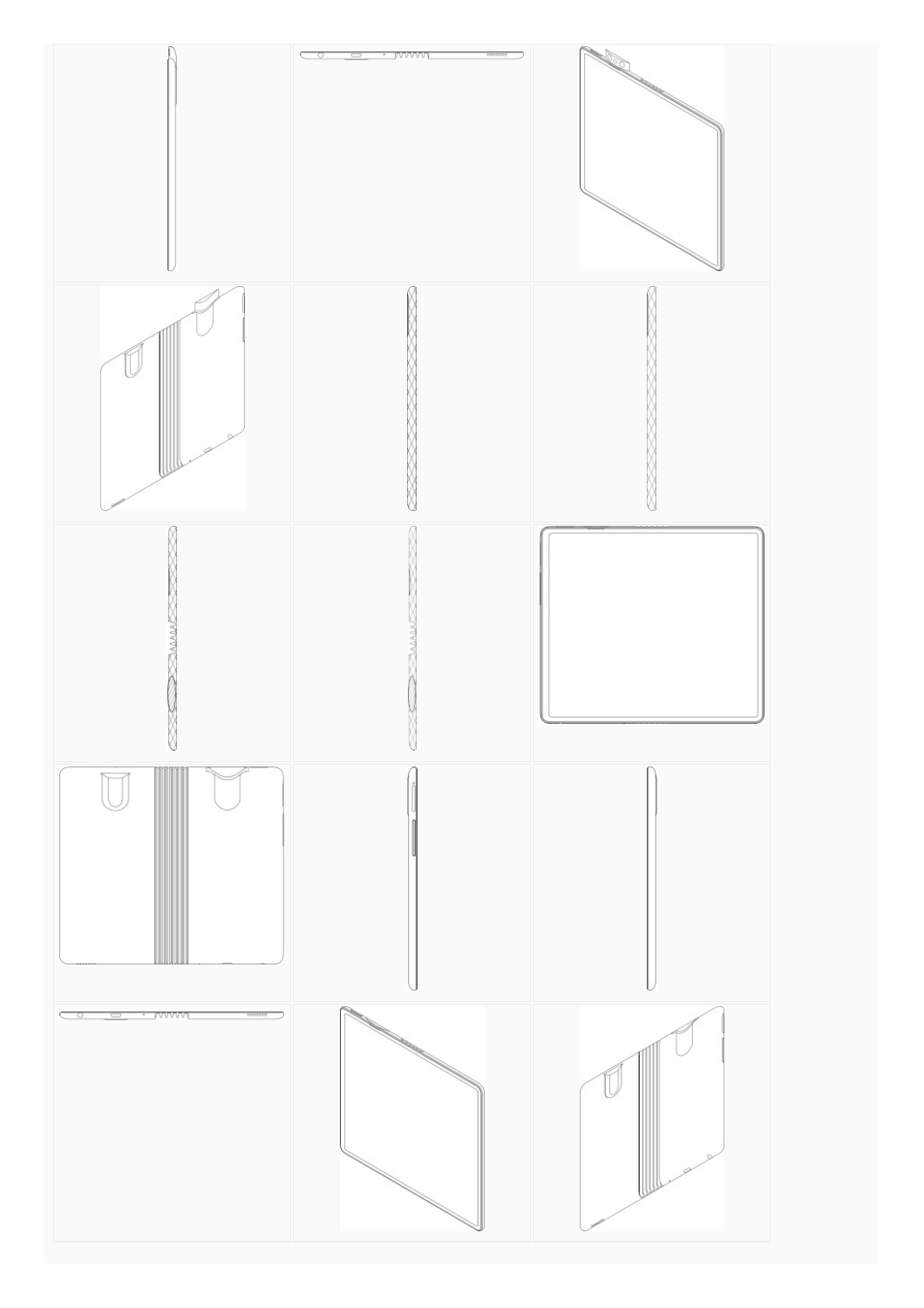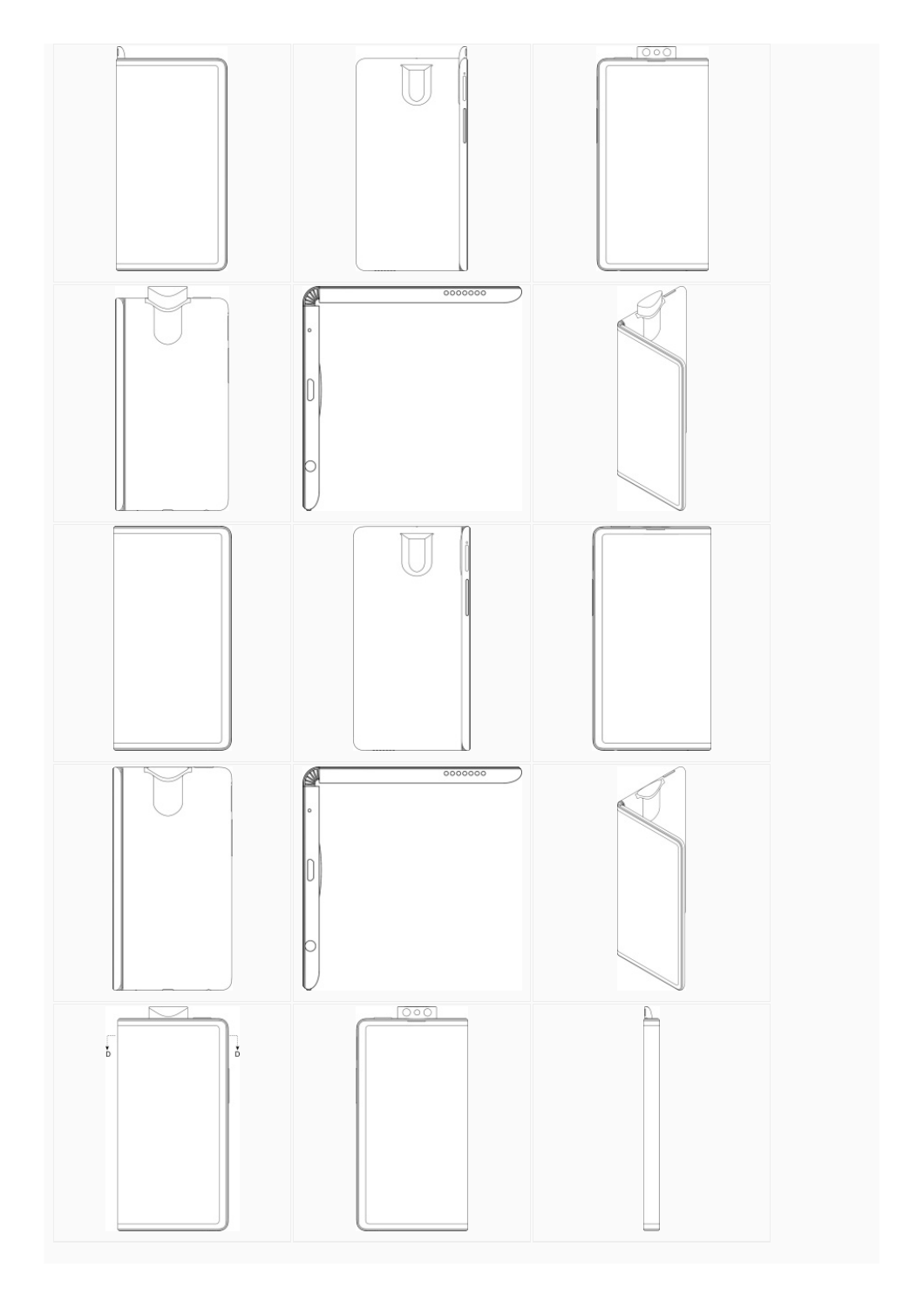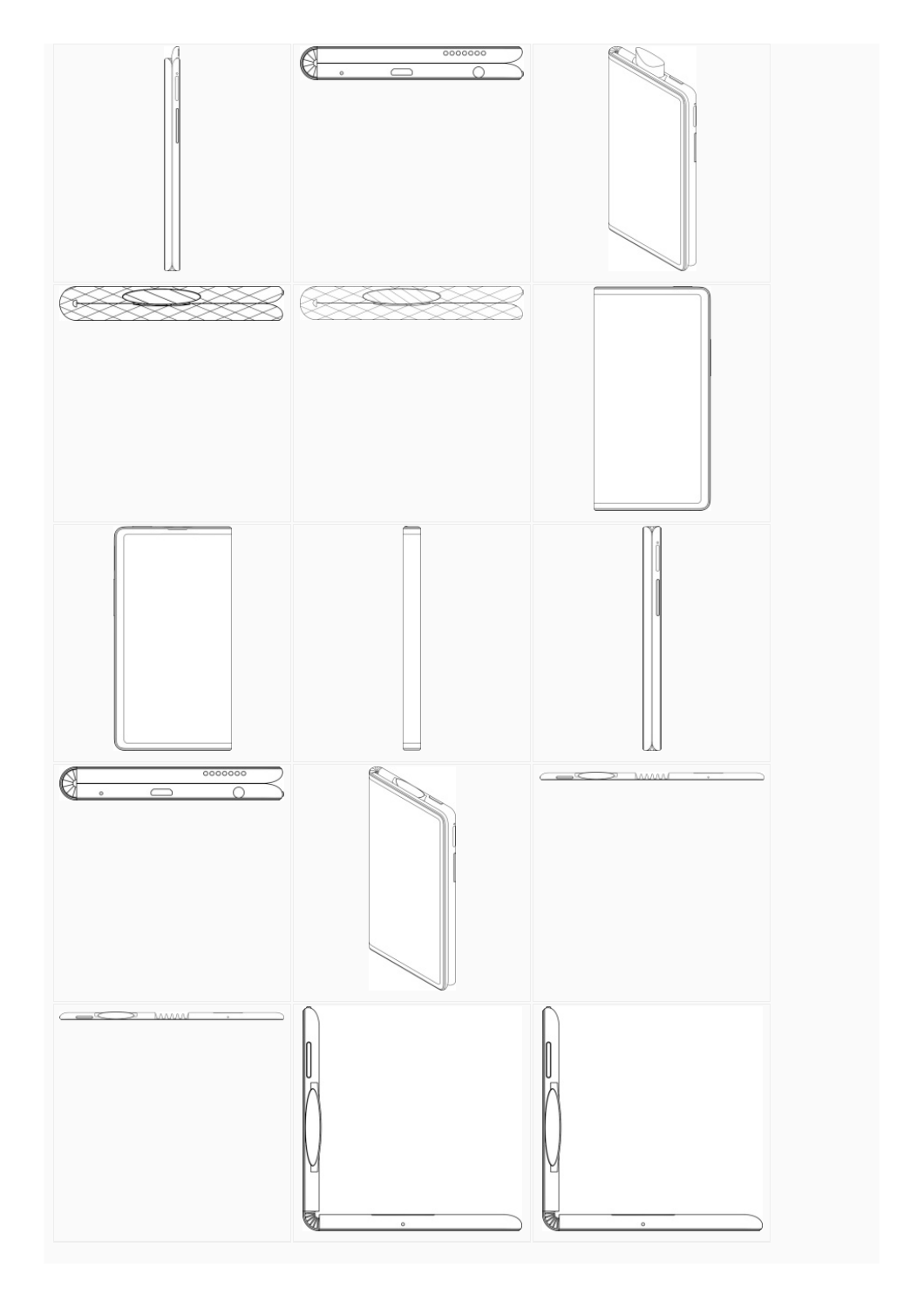